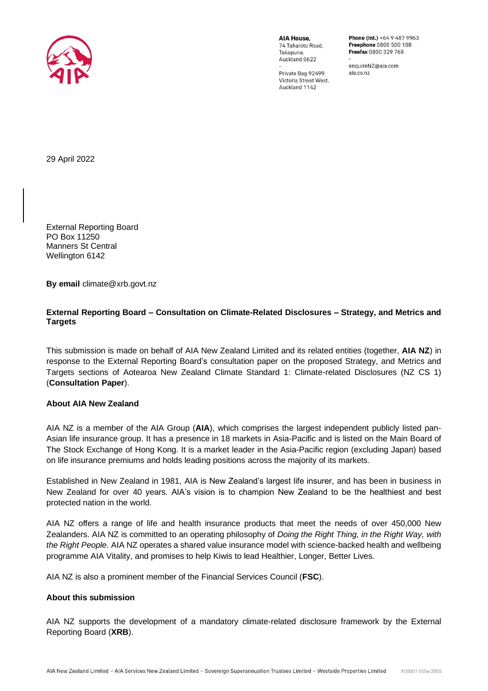

AIA HOUSE 74 Taharoto Road Takapuna Auckland 0622

Private Bag 92499, Victoria Street West, Auckland 1142

Phone (Int.) +64 9 487 9963 Freephone 0800 500 108 Freefax 0800 329 768

enquireNZ@aja.com aja co nz

29 April 2022

External Reporting Board PO Box 11250 Manners St Central Wellington 6142

**By email** climate@xrb.govt.nz

## **External Reporting Board – Consultation on Climate-Related Disclosures – Strategy, and Metrics and Targets**

This submission is made on behalf of AIA New Zealand Limited and its related entities (together, **AIA NZ**) in response to the External Reporting Board's consultation paper on the proposed Strategy, and Metrics and Targets sections of Aotearoa New Zealand Climate Standard 1: Climate-related Disclosures (NZ CS 1) (**Consultation Paper**).

#### **About AIA New Zealand**

AIA NZ is a member of the AIA Group (**AIA**), which comprises the largest independent publicly listed pan-Asian life insurance group. It has a presence in 18 markets in Asia-Pacific and is listed on the Main Board of The Stock Exchange of Hong Kong. It is a market leader in the Asia-Pacific region (excluding Japan) based on life insurance premiums and holds leading positions across the majority of its markets.

Established in New Zealand in 1981, AIA is New Zealand's largest life insurer, and has been in business in New Zealand for over 40 years. AIA's vision is to champion New Zealand to be the healthiest and best protected nation in the world.

AIA NZ offers a range of life and health insurance products that meet the needs of over 450,000 New Zealanders. AIA NZ is committed to an operating philosophy of *Doing the Right Thing, in the Right Way, with the Right People*. AIA NZ operates a shared value insurance model with science-backed health and wellbeing programme AIA Vitality, and promises to help Kiwis to lead Healthier, Longer, Better Lives.

AIA NZ is also a prominent member of the Financial Services Council (**FSC**).

#### **About this submission**

AIA NZ supports the development of a mandatory climate-related disclosure framework by the External Reporting Board (**XRB**).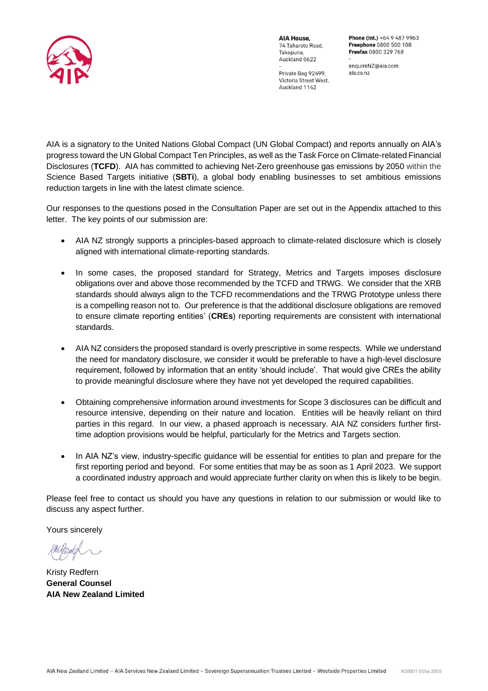

AIA House 74 Taharoto Road Takapuna Auckland 0622

Phone (Int.) +64 9 487 9963 Freephone 0800 500 108 Freefax 0800 329 768

enquireNZ@aia.com aja co nz

Private Bag 92499, Victoria Street West, Auckland 1142

AIA is a signatory to the United Nations Global Compact (UN Global Compact) and reports annually on AIA's progress toward the UN Global Compact Ten Principles, as well as the Task Force on Climate-related Financial Disclosures (**TCFD**). AIA has committed to achieving Net-Zero greenhouse gas emissions by 2050 within the Science Based Targets initiative (**SBTi**), a global body enabling businesses to set ambitious emissions reduction targets in line with the latest climate science.

Our responses to the questions posed in the Consultation Paper are set out in the Appendix attached to this letter. The key points of our submission are:

- AIA NZ strongly supports a principles-based approach to climate-related disclosure which is closely aligned with international climate-reporting standards.
- In some cases, the proposed standard for Strategy, Metrics and Targets imposes disclosure obligations over and above those recommended by the TCFD and TRWG. We consider that the XRB standards should always align to the TCFD recommendations and the TRWG Prototype unless there is a compelling reason not to. Our preference is that the additional disclosure obligations are removed to ensure climate reporting entities' (**CREs**) reporting requirements are consistent with international standards.
- AIA NZ considers the proposed standard is overly prescriptive in some respects. While we understand the need for mandatory disclosure, we consider it would be preferable to have a high-level disclosure requirement, followed by information that an entity 'should include'. That would give CREs the ability to provide meaningful disclosure where they have not yet developed the required capabilities.
- Obtaining comprehensive information around investments for Scope 3 disclosures can be difficult and resource intensive, depending on their nature and location. Entities will be heavily reliant on third parties in this regard. In our view, a phased approach is necessary. AIA NZ considers further firsttime adoption provisions would be helpful, particularly for the Metrics and Targets section.
- In AIA NZ's view, industry-specific guidance will be essential for entities to plan and prepare for the first reporting period and beyond. For some entities that may be as soon as 1 April 2023. We support a coordinated industry approach and would appreciate further clarity on when this is likely to be begin.

Please feel free to contact us should you have any questions in relation to our submission or would like to discuss any aspect further.

Yours sincerely

Kristy Redfern **General Counsel AIA New Zealand Limited**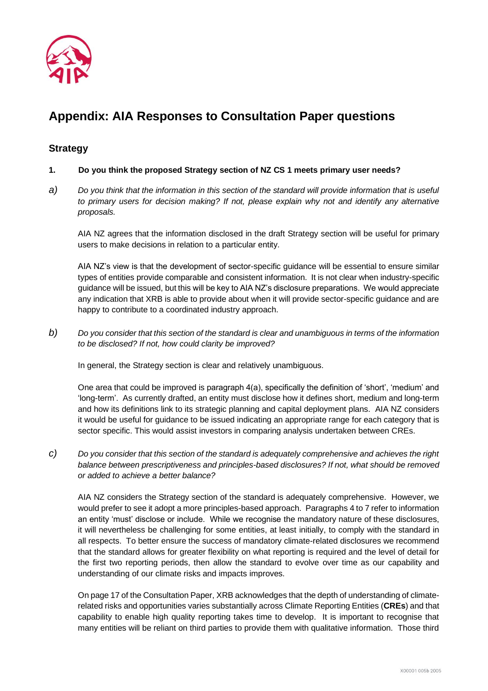

# **Appendix: AIA Responses to Consultation Paper questions**

## **Strategy**

#### **1. Do you think the proposed Strategy section of NZ CS 1 meets primary user needs?**

*a) Do you think that the information in this section of the standard will provide information that is useful to primary users for decision making? If not, please explain why not and identify any alternative proposals.*

AIA NZ agrees that the information disclosed in the draft Strategy section will be useful for primary users to make decisions in relation to a particular entity.

AIA NZ's view is that the development of sector-specific guidance will be essential to ensure similar types of entities provide comparable and consistent information. It is not clear when industry-specific guidance will be issued, but this will be key to AIA NZ's disclosure preparations. We would appreciate any indication that XRB is able to provide about when it will provide sector-specific guidance and are happy to contribute to a coordinated industry approach.

*b) Do you consider that this section of the standard is clear and unambiguous in terms of the information to be disclosed? If not, how could clarity be improved?* 

In general, the Strategy section is clear and relatively unambiguous.

One area that could be improved is paragraph 4(a), specifically the definition of 'short', 'medium' and 'long-term'. As currently drafted, an entity must disclose how it defines short, medium and long-term and how its definitions link to its strategic planning and capital deployment plans. AIA NZ considers it would be useful for guidance to be issued indicating an appropriate range for each category that is sector specific. This would assist investors in comparing analysis undertaken between CREs.

*c) Do you consider that this section of the standard is adequately comprehensive and achieves the right balance between prescriptiveness and principles-based disclosures? If not, what should be removed or added to achieve a better balance?*

AIA NZ considers the Strategy section of the standard is adequately comprehensive. However, we would prefer to see it adopt a more principles-based approach. Paragraphs 4 to 7 refer to information an entity 'must' disclose or include. While we recognise the mandatory nature of these disclosures, it will nevertheless be challenging for some entities, at least initially, to comply with the standard in all respects. To better ensure the success of mandatory climate-related disclosures we recommend that the standard allows for greater flexibility on what reporting is required and the level of detail for the first two reporting periods, then allow the standard to evolve over time as our capability and understanding of our climate risks and impacts improves.

On page 17 of the Consultation Paper, XRB acknowledges that the depth of understanding of climaterelated risks and opportunities varies substantially across Climate Reporting Entities (**CREs**) and that capability to enable high quality reporting takes time to develop. It is important to recognise that many entities will be reliant on third parties to provide them with qualitative information. Those third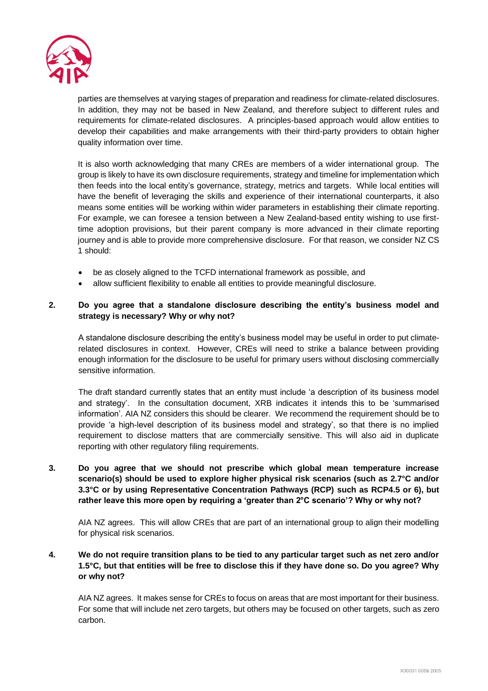

parties are themselves at varying stages of preparation and readiness for climate-related disclosures. In addition, they may not be based in New Zealand, and therefore subject to different rules and requirements for climate-related disclosures. A principles-based approach would allow entities to develop their capabilities and make arrangements with their third-party providers to obtain higher quality information over time.

It is also worth acknowledging that many CREs are members of a wider international group. The group is likely to have its own disclosure requirements, strategy and timeline for implementation which then feeds into the local entity's governance, strategy, metrics and targets. While local entities will have the benefit of leveraging the skills and experience of their international counterparts, it also means some entities will be working within wider parameters in establishing their climate reporting. For example, we can foresee a tension between a New Zealand-based entity wishing to use firsttime adoption provisions, but their parent company is more advanced in their climate reporting journey and is able to provide more comprehensive disclosure. For that reason, we consider NZ CS 1 should:

- be as closely aligned to the TCFD international framework as possible, and
- allow sufficient flexibility to enable all entities to provide meaningful disclosure.

#### **2. Do you agree that a standalone disclosure describing the entity's business model and strategy is necessary? Why or why not?**

A standalone disclosure describing the entity's business model may be useful in order to put climaterelated disclosures in context. However, CREs will need to strike a balance between providing enough information for the disclosure to be useful for primary users without disclosing commercially sensitive information.

The draft standard currently states that an entity must include 'a description of its business model and strategy'. In the consultation document, XRB indicates it intends this to be 'summarised information'. AIA NZ considers this should be clearer. We recommend the requirement should be to provide 'a high-level description of its business model and strategy', so that there is no implied requirement to disclose matters that are commercially sensitive. This will also aid in duplicate reporting with other regulatory filing requirements.

**3. Do you agree that we should not prescribe which global mean temperature increase scenario(s) should be used to explore higher physical risk scenarios (such as 2.7°C and/or 3.3°C or by using Representative Concentration Pathways (RCP) such as RCP4.5 or 6), but rather leave this more open by requiring a 'greater than 2°C scenario'? Why or why not?**

AIA NZ agrees. This will allow CREs that are part of an international group to align their modelling for physical risk scenarios.

#### **4. We do not require transition plans to be tied to any particular target such as net zero and/or 1.5°C, but that entities will be free to disclose this if they have done so. Do you agree? Why or why not?**

AIA NZ agrees. It makes sense for CREs to focus on areas that are most important for their business. For some that will include net zero targets, but others may be focused on other targets, such as zero carbon.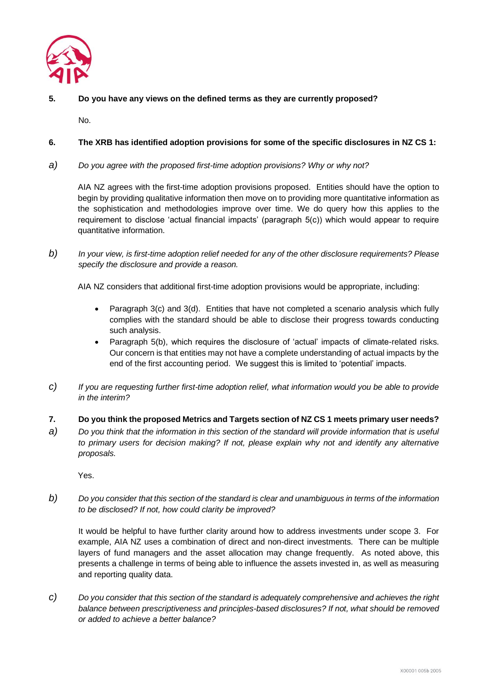

# **5. Do you have any views on the defined terms as they are currently proposed?**

No.

## **6. The XRB has identified adoption provisions for some of the specific disclosures in NZ CS 1:**

*a) Do you agree with the proposed first-time adoption provisions? Why or why not?*

AIA NZ agrees with the first-time adoption provisions proposed. Entities should have the option to begin by providing qualitative information then move on to providing more quantitative information as the sophistication and methodologies improve over time. We do query how this applies to the requirement to disclose 'actual financial impacts' (paragraph 5(c)) which would appear to require quantitative information.

*b) In your view, is first-time adoption relief needed for any of the other disclosure requirements? Please specify the disclosure and provide a reason.*

AIA NZ considers that additional first-time adoption provisions would be appropriate, including:

- Paragraph 3(c) and 3(d). Entities that have not completed a scenario analysis which fully complies with the standard should be able to disclose their progress towards conducting such analysis.
- Paragraph 5(b), which requires the disclosure of 'actual' impacts of climate-related risks. Our concern is that entities may not have a complete understanding of actual impacts by the end of the first accounting period. We suggest this is limited to 'potential' impacts.
- *c) If you are requesting further first-time adoption relief, what information would you be able to provide in the interim?*
- **7. Do you think the proposed Metrics and Targets section of NZ CS 1 meets primary user needs?**
- *a) Do you think that the information in this section of the standard will provide information that is useful to primary users for decision making? If not, please explain why not and identify any alternative proposals.*

Yes.

*b) Do you consider that this section of the standard is clear and unambiguous in terms of the information to be disclosed? If not, how could clarity be improved?* 

It would be helpful to have further clarity around how to address investments under scope 3. For example, AIA NZ uses a combination of direct and non-direct investments. There can be multiple layers of fund managers and the asset allocation may change frequently. As noted above, this presents a challenge in terms of being able to influence the assets invested in, as well as measuring and reporting quality data.

*c) Do you consider that this section of the standard is adequately comprehensive and achieves the right balance between prescriptiveness and principles-based disclosures? If not, what should be removed or added to achieve a better balance?*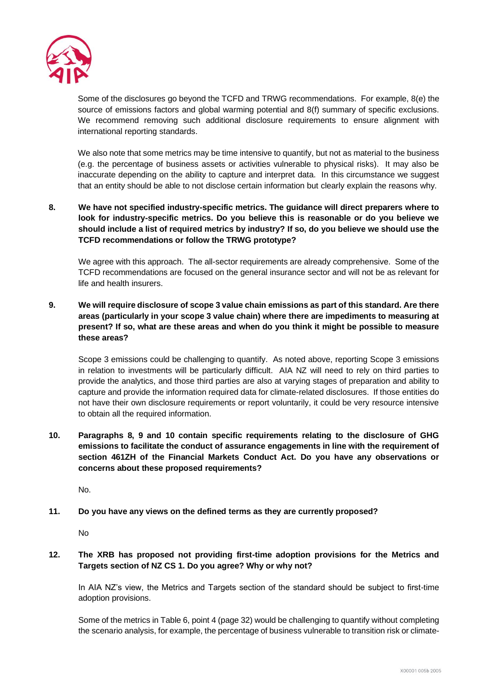

Some of the disclosures go beyond the TCFD and TRWG recommendations. For example, 8(e) the source of emissions factors and global warming potential and 8(f) summary of specific exclusions. We recommend removing such additional disclosure requirements to ensure alignment with international reporting standards.

We also note that some metrics may be time intensive to quantify, but not as material to the business (e.g. the percentage of business assets or activities vulnerable to physical risks). It may also be inaccurate depending on the ability to capture and interpret data. In this circumstance we suggest that an entity should be able to not disclose certain information but clearly explain the reasons why.

**8. We have not specified industry-specific metrics. The guidance will direct preparers where to look for industry-specific metrics. Do you believe this is reasonable or do you believe we should include a list of required metrics by industry? If so, do you believe we should use the TCFD recommendations or follow the TRWG prototype?** 

We agree with this approach. The all-sector requirements are already comprehensive. Some of the TCFD recommendations are focused on the general insurance sector and will not be as relevant for life and health insurers.

**9. We will require disclosure of scope 3 value chain emissions as part of this standard. Are there areas (particularly in your scope 3 value chain) where there are impediments to measuring at present? If so, what are these areas and when do you think it might be possible to measure these areas?**

Scope 3 emissions could be challenging to quantify. As noted above, reporting Scope 3 emissions in relation to investments will be particularly difficult. AIA NZ will need to rely on third parties to provide the analytics, and those third parties are also at varying stages of preparation and ability to capture and provide the information required data for climate-related disclosures. If those entities do not have their own disclosure requirements or report voluntarily, it could be very resource intensive to obtain all the required information.

**10. Paragraphs 8, 9 and 10 contain specific requirements relating to the disclosure of GHG emissions to facilitate the conduct of assurance engagements in line with the requirement of section 461ZH of the Financial Markets Conduct Act. Do you have any observations or concerns about these proposed requirements?**

No.

**11. Do you have any views on the defined terms as they are currently proposed?**

No

**12. The XRB has proposed not providing first-time adoption provisions for the Metrics and Targets section of NZ CS 1. Do you agree? Why or why not?**

In AIA NZ's view, the Metrics and Targets section of the standard should be subject to first-time adoption provisions.

Some of the metrics in Table 6, point 4 (page 32) would be challenging to quantify without completing the scenario analysis, for example, the percentage of business vulnerable to transition risk or climate-